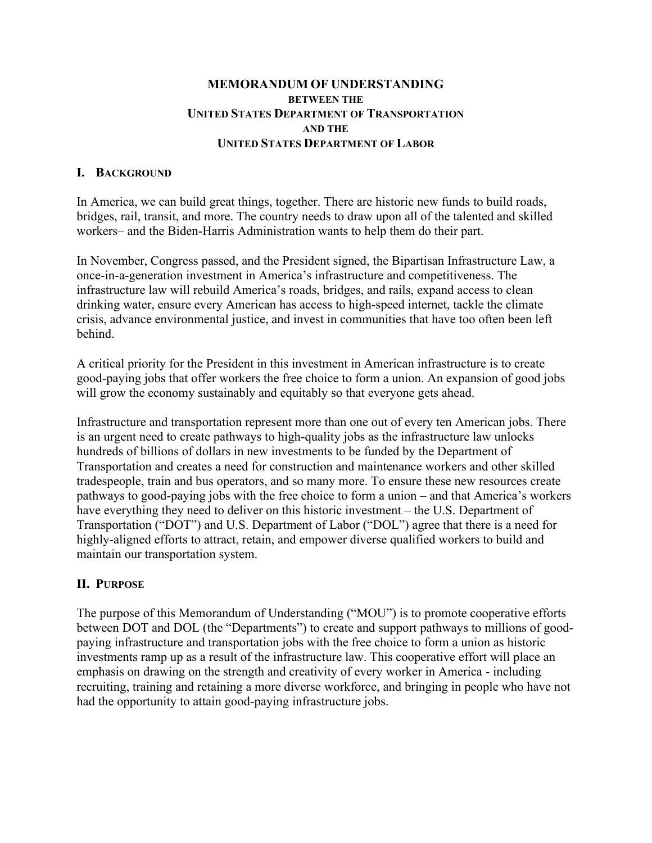## **MEMORANDUM OF UNDERSTANDING BETWEEN THE UNITED STATES DEPARTMENT OF TRANSPORTATION AND THE UNITED STATES DEPARTMENT OF LABOR**

### **I. BACKGROUND**

In America, we can build great things, together. There are historic new funds to build roads, bridges, rail, transit, and more. The country needs to draw upon all of the talented and skilled workers– and the Biden-Harris Administration wants to help them do their part.

In November, Congress passed, and the President signed, the Bipartisan Infrastructure Law, a once-in-a-generation investment in America's infrastructure and competitiveness. The infrastructure law will rebuild America's roads, bridges, and rails, expand access to clean drinking water, ensure every American has access to high-speed internet, tackle the climate crisis, advance environmental justice, and invest in communities that have too often been left behind.

A critical priority for the President in this investment in American infrastructure is to create good-paying jobs that offer workers the free choice to form a union. An expansion of good jobs will grow the economy sustainably and equitably so that everyone gets ahead.

Infrastructure and transportation represent more than one out of every ten American jobs. There is an urgent need to create pathways to high-quality jobs as the infrastructure law unlocks hundreds of billions of dollars in new investments to be funded by the Department of Transportation and creates a need for construction and maintenance workers and other skilled tradespeople, train and bus operators, and so many more. To ensure these new resources create pathways to good-paying jobs with the free choice to form a union – and that America's workers have everything they need to deliver on this historic investment – the U.S. Department of Transportation ("DOT") and U.S. Department of Labor ("DOL") agree that there is a need for highly-aligned efforts to attract, retain, and empower diverse qualified workers to build and maintain our transportation system.

### **II. PURPOSE**

The purpose of this Memorandum of Understanding ("MOU") is to promote cooperative efforts between DOT and DOL (the "Departments") to create and support pathways to millions of goodpaying infrastructure and transportation jobs with the free choice to form a union as historic investments ramp up as a result of the infrastructure law. This cooperative effort will place an emphasis on drawing on the strength and creativity of every worker in America - including recruiting, training and retaining a more diverse workforce, and bringing in people who have not had the opportunity to attain good-paying infrastructure jobs.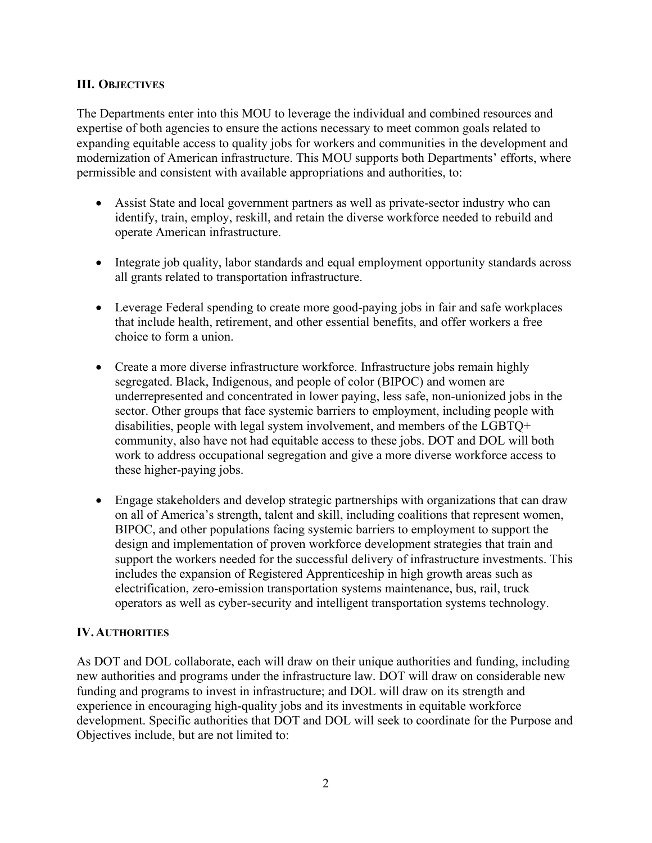## **III. OBJECTIVES**

The Departments enter into this MOU to leverage the individual and combined resources and expertise of both agencies to ensure the actions necessary to meet common goals related to expanding equitable access to quality jobs for workers and communities in the development and modernization of American infrastructure. This MOU supports both Departments' efforts, where permissible and consistent with available appropriations and authorities, to:

- Assist State and local government partners as well as private-sector industry who can identify, train, employ, reskill, and retain the diverse workforce needed to rebuild and operate American infrastructure.
- Integrate job quality, labor standards and equal employment opportunity standards across all grants related to transportation infrastructure.
- Leverage Federal spending to create more good-paying jobs in fair and safe workplaces that include health, retirement, and other essential benefits, and offer workers a free choice to form a union.
- Create a more diverse infrastructure workforce. Infrastructure jobs remain highly segregated. Black, Indigenous, and people of color (BIPOC) and women are underrepresented and concentrated in lower paying, less safe, non-unionized jobs in the sector. Other groups that face systemic barriers to employment, including people with disabilities, people with legal system involvement, and members of the LGBTQ+ community, also have not had equitable access to these jobs. DOT and DOL will both work to address occupational segregation and give a more diverse workforce access to these higher-paying jobs.
- Engage stakeholders and develop strategic partnerships with organizations that can draw on all of America's strength, talent and skill, including coalitions that represent women, BIPOC, and other populations facing systemic barriers to employment to support the design and implementation of proven workforce development strategies that train and support the workers needed for the successful delivery of infrastructure investments. This includes the expansion of Registered Apprenticeship in high growth areas such as electrification, zero-emission transportation systems maintenance, bus, rail, truck operators as well as cyber-security and intelligent transportation systems technology.

# **IV.AUTHORITIES**

As DOT and DOL collaborate, each will draw on their unique authorities and funding, including new authorities and programs under the infrastructure law. DOT will draw on considerable new funding and programs to invest in infrastructure; and DOL will draw on its strength and experience in encouraging high-quality jobs and its investments in equitable workforce development. Specific authorities that DOT and DOL will seek to coordinate for the Purpose and Objectives include, but are not limited to: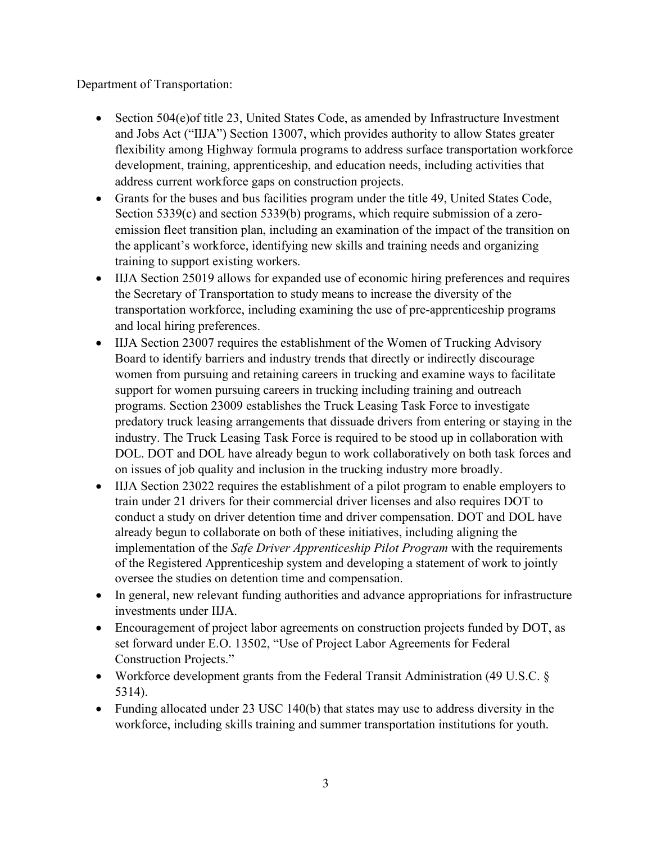Department of Transportation:

- Section 504(e) of title 23, United States Code, as amended by Infrastructure Investment and Jobs Act ("IIJA") Section 13007, which provides authority to allow States greater flexibility among Highway formula programs to address surface transportation workforce development, training, apprenticeship, and education needs, including activities that address current workforce gaps on construction projects.
- Grants for the buses and bus facilities program under the title 49, United States Code, Section 5339(c) and section 5339(b) programs, which require submission of a zeroemission fleet transition plan, including an examination of the impact of the transition on the applicant's workforce, identifying new skills and training needs and organizing training to support existing workers.
- IIJA Section 25019 allows for expanded use of economic hiring preferences and requires the Secretary of Transportation to study means to increase the diversity of the transportation workforce, including examining the use of pre-apprenticeship programs and local hiring preferences.
- IIJA Section 23007 requires the establishment of the Women of Trucking Advisory Board to identify barriers and industry trends that directly or indirectly discourage women from pursuing and retaining careers in trucking and examine ways to facilitate support for women pursuing careers in trucking including training and outreach programs. Section 23009 establishes the Truck Leasing Task Force to investigate predatory truck leasing arrangements that dissuade drivers from entering or staying in the industry. The Truck Leasing Task Force is required to be stood up in collaboration with DOL. DOT and DOL have already begun to work collaboratively on both task forces and on issues of job quality and inclusion in the trucking industry more broadly.
- IIJA Section 23022 requires the establishment of a pilot program to enable employers to train under 21 drivers for their commercial driver licenses and also requires DOT to conduct a study on driver detention time and driver compensation. DOT and DOL have already begun to collaborate on both of these initiatives, including aligning the implementation of the *Safe Driver Apprenticeship Pilot Program* with the requirements of the Registered Apprenticeship system and developing a statement of work to jointly oversee the studies on detention time and compensation.
- In general, new relevant funding authorities and advance appropriations for infrastructure investments under IIJA.
- Encouragement of project labor agreements on construction projects funded by DOT, as set forward under E.O. 13502, "Use of Project Labor Agreements for Federal Construction Projects."
- Workforce development grants from the Federal Transit Administration (49 U.S.C. § 5314).
- Funding allocated under 23 USC 140(b) that states may use to address diversity in the workforce, including skills training and summer transportation institutions for youth.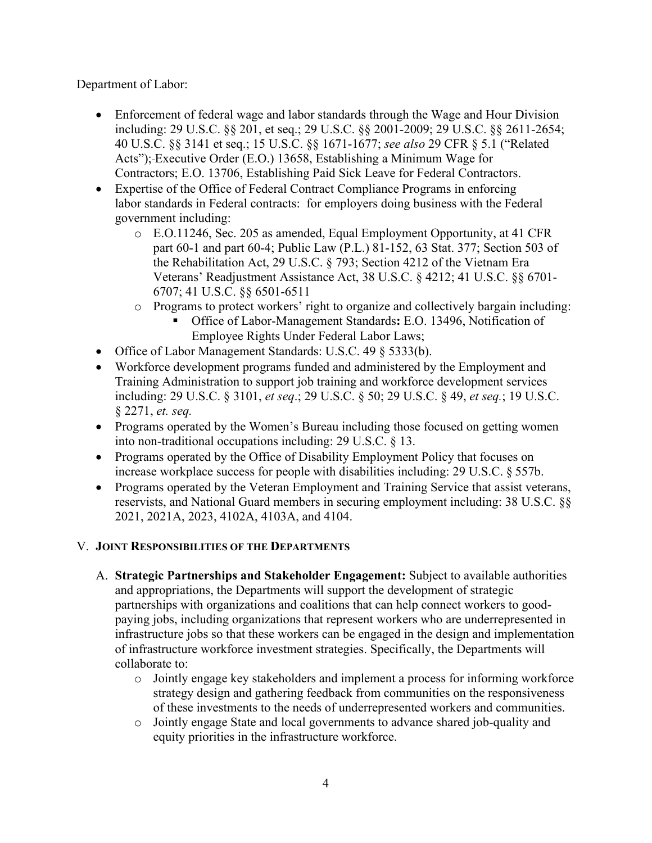Department of Labor:

- Enforcement of federal wage and labor standards through the Wage and Hour Division including: 29 U.S.C. §§ 201, et seq.; 29 U.S.C. §§ 2001-2009; 29 U.S.C. §§ 2611-2654; 40 U.S.C. §§ 3141 et seq.; 15 U.S.C. §§ 1671-1677; *see also* 29 CFR § 5.1 ("Related Acts"); Executive Order (E.O.) 13658, Establishing a Minimum Wage for Contractors; E.O. 13706, Establishing Paid Sick Leave for Federal Contractors.
- Expertise of the Office of Federal Contract Compliance Programs in enforcing labor standards in Federal contracts: for employers doing business with the Federal government including:
	- o E.O.11246, Sec. 205 as amended, Equal Employment Opportunity, at 41 CFR part 60-1 and part 60-4; Public Law (P.L.) 81-152, 63 Stat. 377; Section 503 of the Rehabilitation Act, 29 U.S.C. § 793; Section 4212 of the Vietnam Era Veterans' Readjustment Assistance Act, 38 U.S.C. § 4212; 41 U.S.C. §§ 6701- 6707; 41 U.S.C. §§ 6501-6511
	- o Programs to protect workers' right to organize and collectively bargain including:
		- Office of Labor-Management Standards**:** E.O. 13496, Notification of Employee Rights Under Federal Labor Laws;
- Office of Labor Management Standards: U.S.C. 49 § 5333(b).
- Workforce development programs funded and administered by the Employment and Training Administration to support job training and workforce development services including: 29 U.S.C. § 3101, *et seq*.; 29 U.S.C. § 50; 29 U.S.C. § 49, *et seq.*; 19 U.S.C. § 2271, *et. seq.*
- Programs operated by the Women's Bureau including those focused on getting women into non-traditional occupations including: 29 U.S.C. § 13.
- Programs operated by the Office of Disability Employment Policy that focuses on increase workplace success for people with disabilities including: 29 U.S.C. § 557b.
- Programs operated by the Veteran Employment and Training Service that assist veterans, reservists, and National Guard members in securing employment including: 38 U.S.C. §§ 2021, 2021A, 2023, 4102A, 4103A, and 4104.

# V. **JOINT RESPONSIBILITIES OF THE DEPARTMENTS**

- A. **Strategic Partnerships and Stakeholder Engagement:** Subject to available authorities and appropriations, the Departments will support the development of strategic partnerships with organizations and coalitions that can help connect workers to goodpaying jobs, including organizations that represent workers who are underrepresented in infrastructure jobs so that these workers can be engaged in the design and implementation of infrastructure workforce investment strategies. Specifically, the Departments will collaborate to:
	- o Jointly engage key stakeholders and implement a process for informing workforce strategy design and gathering feedback from communities on the responsiveness of these investments to the needs of underrepresented workers and communities.
	- o Jointly engage State and local governments to advance shared job-quality and equity priorities in the infrastructure workforce.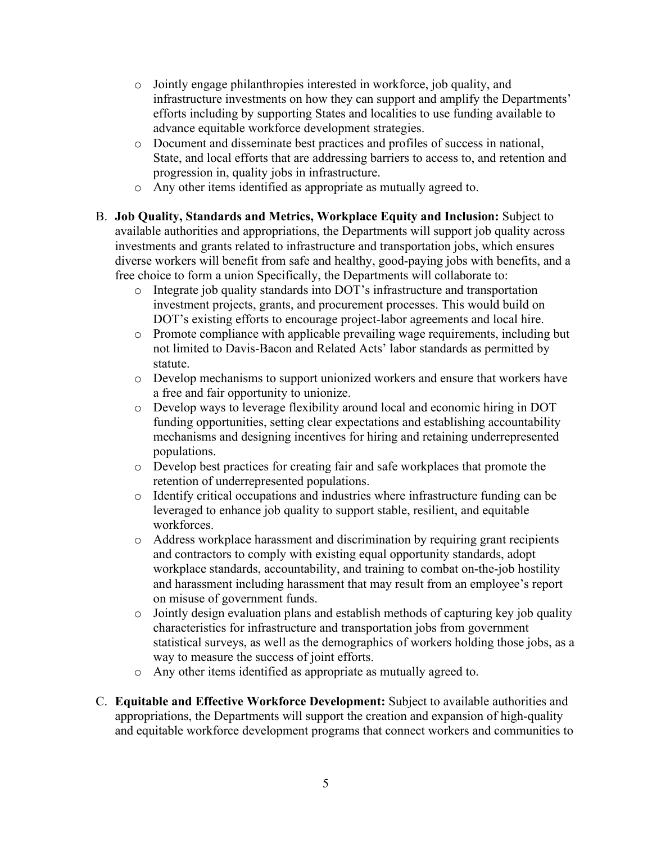- o Jointly engage philanthropies interested in workforce, job quality, and infrastructure investments on how they can support and amplify the Departments' efforts including by supporting States and localities to use funding available to advance equitable workforce development strategies.
- o Document and disseminate best practices and profiles of success in national, State, and local efforts that are addressing barriers to access to, and retention and progression in, quality jobs in infrastructure.
- o Any other items identified as appropriate as mutually agreed to.
- B. **Job Quality, Standards and Metrics, Workplace Equity and Inclusion:** Subject to available authorities and appropriations, the Departments will support job quality across investments and grants related to infrastructure and transportation jobs, which ensures diverse workers will benefit from safe and healthy, good-paying jobs with benefits, and a free choice to form a union Specifically, the Departments will collaborate to:
	- o Integrate job quality standards into DOT's infrastructure and transportation investment projects, grants, and procurement processes. This would build on DOT's existing efforts to encourage project-labor agreements and local hire.
	- o Promote compliance with applicable prevailing wage requirements, including but not limited to Davis-Bacon and Related Acts' labor standards as permitted by statute.
	- o Develop mechanisms to support unionized workers and ensure that workers have a free and fair opportunity to unionize.
	- o Develop ways to leverage flexibility around local and economic hiring in DOT funding opportunities, setting clear expectations and establishing accountability mechanisms and designing incentives for hiring and retaining underrepresented populations.
	- o Develop best practices for creating fair and safe workplaces that promote the retention of underrepresented populations.
	- o Identify critical occupations and industries where infrastructure funding can be leveraged to enhance job quality to support stable, resilient, and equitable workforces.
	- o Address workplace harassment and discrimination by requiring grant recipients and contractors to comply with existing equal opportunity standards, adopt workplace standards, accountability, and training to combat on-the-job hostility and harassment including harassment that may result from an employee's report on misuse of government funds.
	- o Jointly design evaluation plans and establish methods of capturing key job quality characteristics for infrastructure and transportation jobs from government statistical surveys, as well as the demographics of workers holding those jobs, as a way to measure the success of joint efforts.
	- o Any other items identified as appropriate as mutually agreed to.
- C. **Equitable and Effective Workforce Development:** Subject to available authorities and appropriations, the Departments will support the creation and expansion of high-quality and equitable workforce development programs that connect workers and communities to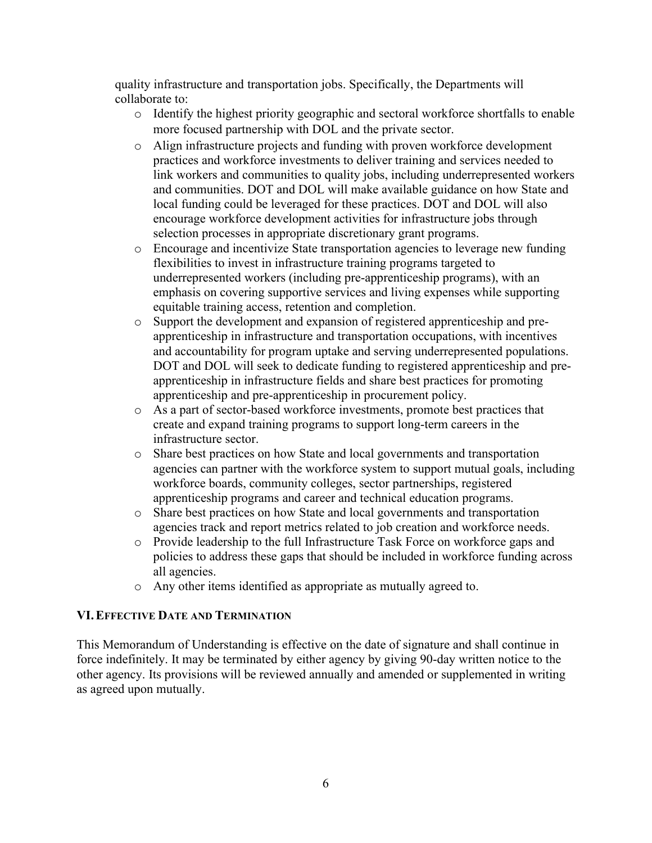quality infrastructure and transportation jobs. Specifically, the Departments will collaborate to:

- o Identify the highest priority geographic and sectoral workforce shortfalls to enable more focused partnership with DOL and the private sector.
- o Align infrastructure projects and funding with proven workforce development practices and workforce investments to deliver training and services needed to link workers and communities to quality jobs, including underrepresented workers and communities. DOT and DOL will make available guidance on how State and local funding could be leveraged for these practices. DOT and DOL will also encourage workforce development activities for infrastructure jobs through selection processes in appropriate discretionary grant programs.
- o Encourage and incentivize State transportation agencies to leverage new funding flexibilities to invest in infrastructure training programs targeted to underrepresented workers (including pre-apprenticeship programs), with an emphasis on covering supportive services and living expenses while supporting equitable training access, retention and completion.
- o Support the development and expansion of registered apprenticeship and preapprenticeship in infrastructure and transportation occupations, with incentives and accountability for program uptake and serving underrepresented populations. DOT and DOL will seek to dedicate funding to registered apprenticeship and preapprenticeship in infrastructure fields and share best practices for promoting apprenticeship and pre-apprenticeship in procurement policy.
- o As a part of sector-based workforce investments, promote best practices that create and expand training programs to support long-term careers in the infrastructure sector.
- o Share best practices on how State and local governments and transportation agencies can partner with the workforce system to support mutual goals, including workforce boards, community colleges, sector partnerships, registered apprenticeship programs and career and technical education programs.
- o Share best practices on how State and local governments and transportation agencies track and report metrics related to job creation and workforce needs.
- o Provide leadership to the full Infrastructure Task Force on workforce gaps and policies to address these gaps that should be included in workforce funding across all agencies.
- o Any other items identified as appropriate as mutually agreed to.

# **VI.EFFECTIVE DATE AND TERMINATION**

This Memorandum of Understanding is effective on the date of signature and shall continue in force indefinitely. It may be terminated by either agency by giving 90-day written notice to the other agency. Its provisions will be reviewed annually and amended or supplemented in writing as agreed upon mutually.